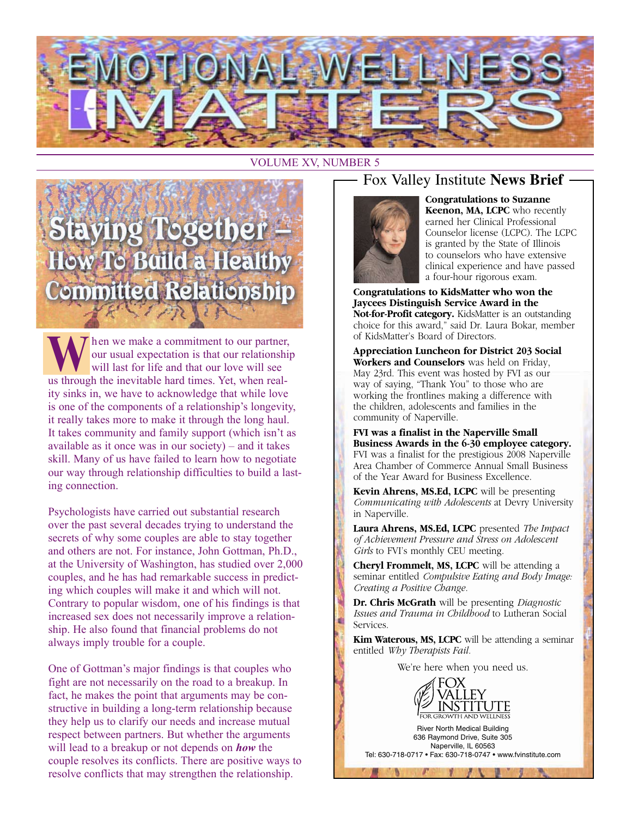

#### VOLUME XV, NUMBER 5

# **Staying Together-**How To Build a Healthy **Committed Relationship**

When we make a commitment to our partner,<br>
will last for life and that our love will see our usual expectation is that our relationship will last for life and that our love will see us through the inevitable hard times. Yet, when reality sinks in, we have to acknowledge that while love is one of the components of a relationship's longevity, it really takes more to make it through the long haul. It takes community and family support (which isn't as available as it once was in our society) – and it takes skill. Many of us have failed to learn how to negotiate our way through relationship difficulties to build a lasting connection.

Psychologists have carried out substantial research over the past several decades trying to understand the secrets of why some couples are able to stay together and others are not. For instance, John Gottman, Ph.D., at the University of Washington, has studied over 2,000 couples, and he has had remarkable success in predicting which couples will make it and which will not. Contrary to popular wisdom, one of his findings is that increased sex does not necessarily improve a relationship. He also found that financial problems do not always imply trouble for a couple.

One of Gottman's major findings is that couples who fight are not necessarily on the road to a breakup. In fact, he makes the point that arguments may be constructive in building a long-term relationship because they help us to clarify our needs and increase mutual respect between partners. But whether the arguments will lead to a breakup or not depends on *how* the couple resolves its conflicts. There are positive ways to resolve conflicts that may strengthen the relationship.

## Fox Valley Institute **News Brief**



**Congratulations to Suzanne Keenon, MA, LCPC** who recently earned her Clinical Professional Counselor license (LCPC). The LCPC is granted by the State of Illinois to counselors who have extensive clinical experience and have passed a four-hour rigorous exam.

**Congratulations to KidsMatter who won the Jaycees Distinguish Service Award in the Not-for-Profit category.** KidsMatter is an outstanding choice for this award," said Dr. Laura Bokar, member of KidsMatter's Board of Directors.

**Appreciation Luncheon for District 203 Social Workers and Counselors** was held on Friday, May 23rd. This event was hosted by FVI as our way of saying, "Thank You" to those who are working the frontlines making a difference with the children, adolescents and families in the community of Naperville.

**FVI was a finalist in the Naperville Small Business Awards in the 6-30 employee category.** FVI was a finalist for the prestigious 2008 Naperville Area Chamber of Commerce Annual Small Business of the Year Award for Business Excellence.

**Kevin Ahrens, MS.Ed, LCPC** will be presenting *Communicating with Adolescents* at Devry University in Naperville.

**Laura Ahrens, MS.Ed, LCPC** presented *The Impact of Achievement Pressure and Stress on Adolescent Girls* to FVI's monthly CEU meeting.

**Cheryl Frommelt, MS, LCPC** will be attending a seminar entitled *Compulsive Eating and Body Image: Creating a Positive Change.*

**Dr. Chris McGrath** will be presenting *Diagnostic Issues and Trauma in Childhood* to Lutheran Social Services.

**Kim Waterous, MS, LCPC** will be attending a seminar entitled *Why Therapists Fail.*

We're here when you need us.



River North Medical Building 636 Raymond Drive, Suite 305 Naperville, IL 60563 Tel: 630-718-0717 • Fax: 630-718-0747 • www.fvinstitute.com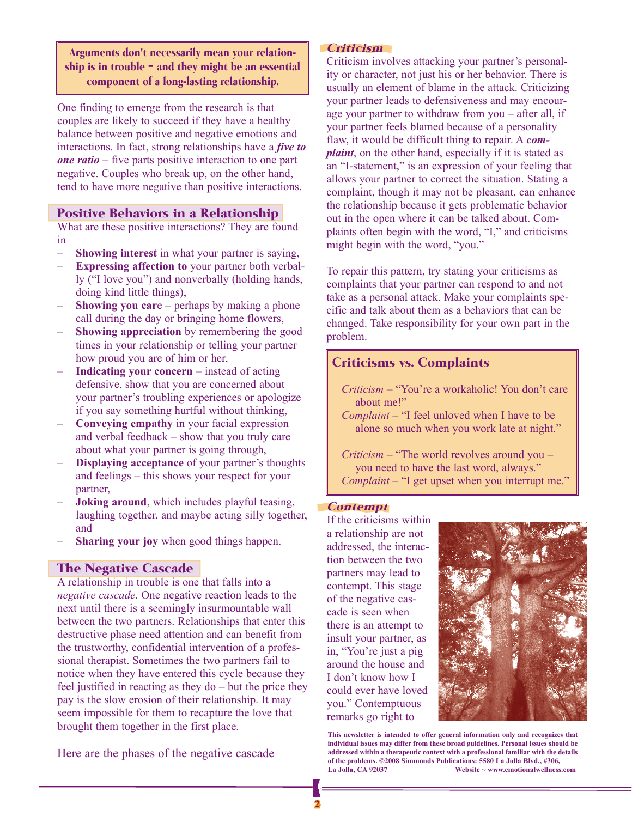Arguments don't necessarily mean your relationship is in trouble – and they might be an essential component of a long-lasting relationship.

One finding to emerge from the research is that couples are likely to succeed if they have a healthy balance between positive and negative emotions and interactions. In fact, strong relationships have a *five to one ratio* – five parts positive interaction to one part negative. Couples who break up, on the other hand, tend to have more negative than positive interactions.

#### Positive Behaviors in a Relationship

What are these positive interactions? They are found in

- **Showing interest** in what your partner is saying,
- **Expressing affection to** your partner both verbally ("I love you") and nonverbally (holding hands, doing kind little things),
- **Showing you car**e perhaps by making a phone call during the day or bringing home flowers,
- **Showing appreciation** by remembering the good times in your relationship or telling your partner how proud you are of him or her,
- **Indicating your concern** instead of acting defensive, show that you are concerned about your partner's troubling experiences or apologize if you say something hurtful without thinking,
- **Conveying empathy** in your facial expression and verbal feedback – show that you truly care about what your partner is going through,
- **Displaying acceptance** of your partner's thoughts and feelings – this shows your respect for your partner,
- **Joking around**, which includes playful teasing, laughing together, and maybe acting silly together, and
- **Sharing your joy** when good things happen.

#### The Negative Cascade

A relationship in trouble is one that falls into a *negative cascade*. One negative reaction leads to the next until there is a seemingly insurmountable wall between the two partners. Relationships that enter this destructive phase need attention and can benefit from the trustworthy, confidential intervention of a professional therapist. Sometimes the two partners fail to notice when they have entered this cycle because they feel justified in reacting as they do – but the price they pay is the slow erosion of their relationship. It may seem impossible for them to recapture the love that brought them together in the first place.

Here are the phases of the negative cascade –

#### Criticism

Criticism involves attacking your partner's personality or character, not just his or her behavior. There is usually an element of blame in the attack. Criticizing your partner leads to defensiveness and may encourage your partner to withdraw from you – after all, if your partner feels blamed because of a personality flaw, it would be difficult thing to repair. A *complaint*, on the other hand, especially if it is stated as an "I-statement," is an expression of your feeling that allows your partner to correct the situation. Stating a complaint, though it may not be pleasant, can enhance the relationship because it gets problematic behavior out in the open where it can be talked about. Complaints often begin with the word, "I," and criticisms might begin with the word, "you."

To repair this pattern, try stating your criticisms as complaints that your partner can respond to and not take as a personal attack. Make your complaints specific and talk about them as a behaviors that can be changed. Take responsibility for your own part in the problem.

### Criticisms vs. Complaints

- *Criticism* "You're a workaholic! You don't care about me!"
- *Complaint* "I feel unloved when I have to be alone so much when you work late at night."

*Criticism* – "The world revolves around you – you need to have the last word, always." *Complaint* – "I get upset when you interrupt me."

#### Contempt

If the criticisms within a relationship are not addressed, the interaction between the two partners may lead to contempt. This stage of the negative cascade is seen when there is an attempt to insult your partner, as in, "You're just a pig around the house and I don't know how I could ever have loved you." Contemptuous remarks go right to



**This newsletter is intended to offer general information only and recognizes that individual issues may differ from these broad guidelines. Personal issues should be addressed within a therapeutic context with a professional familiar with the details of the problems. ©2008 Simmonds Publications: 5580 La Jolla Blvd., #306, La Jolla, CA 92037 Website ~ www.emotionalwellness.com**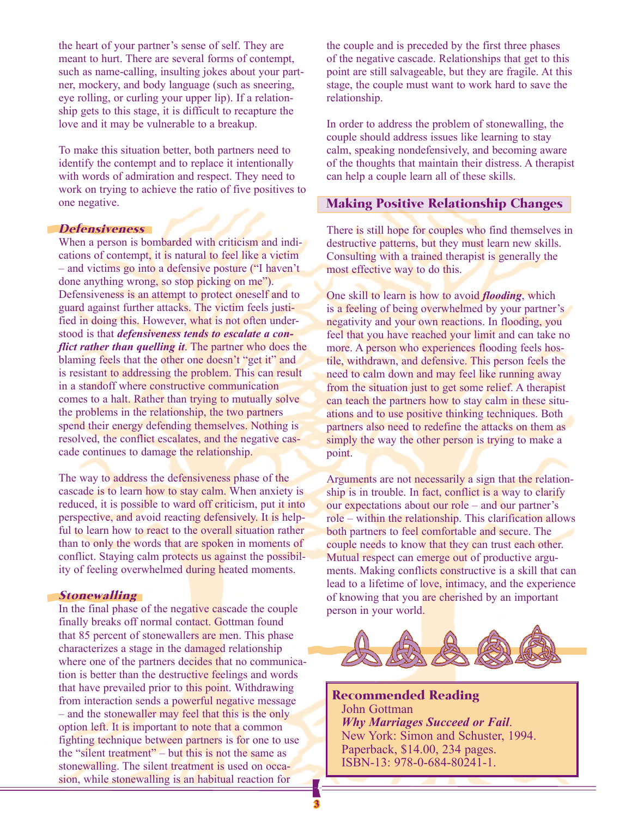the heart of your partner's sense of self. They are meant to hurt. There are several forms of contempt, such as name-calling, insulting jokes about your partner, mockery, and body language (such as sneering, eye rolling, or curling your upper lip). If a relationship gets to this stage, it is difficult to recapture the love and it may be vulnerable to a breakup.

To make this situation better, both partners need to identify the contempt and to replace it intentionally with words of admiration and respect. They need to work on trying to achieve the ratio of five positives to one negative.

#### **Defensiveness**

When a person is bombarded with criticism and indications of contempt, it is natural to feel like a victim – and victims go into a defensive posture ("I haven't done anything wrong, so stop picking on me"). Defensiveness is an attempt to protect oneself and to guard against further attacks. The victim feels justified in doing this. However, what is not often understood is that *defensiveness tends to escalate a conflict rather than quelling it*. The partner who does the blaming feels that the other one doesn't "get it" and is resistant to addressing the problem. This can result in a standoff where constructive communication comes to a halt. Rather than trying to mutually solve the problems in the relationship, the two partners spend their energy defending themselves. Nothing is resolved, the conflict escalates, and the negative cascade continues to damage the relationship.

The way to address the defensiveness phase of the cascade is to learn how to stay calm. When anxiety is reduced, it is possible to ward off criticism, put it into perspective, and avoid reacting defensively. It is helpful to learn how to react to the overall situation rather than to only the words that are spoken in moments of conflict. Staying calm protects us against the possibility of feeling overwhelmed during heated moments.

#### **Stonewalling**

In the final phase of the negative cascade the couple finally breaks off normal contact. Gottman found that 85 percent of stonewallers are men. This phase characterizes a stage in the damaged relationship where one of the partners decides that no communication is better than the destructive feelings and words that have prevailed prior to this point. Withdrawing from interaction sends a powerful negative message – and the stonewaller may feel that this is the only option left. It is important to note that a common fighting technique between partners is for one to use the "silent treatment" – but this is not the same as stonewalling. The silent treatment is used on occasion, while stonewalling is an habitual reaction for

the couple and is preceded by the first three phases of the negative cascade. Relationships that get to this point are still salvageable, but they are fragile. At this stage, the couple must want to work hard to save the relationship.

In order to address the problem of stonewalling, the couple should address issues like learning to stay calm, speaking nondefensively, and becoming aware of the thoughts that maintain their distress. A therapist can help a couple learn all of these skills.

#### Making Positive Relationship Changes

There is still hope for couples who find themselves in destructive patterns, but they must learn new skills. Consulting with a trained therapist is generally the most effective way to do this.

One skill to learn is how to avoid *flooding*, which is a feeling of being overwhelmed by your partner's negativity and your own reactions. In flooding, you feel that you have reached your limit and can take no more. A person who experiences flooding feels hostile, withdrawn, and defensive. This person feels the need to calm down and may feel like running away from the situation just to get some relief. A therapist can teach the partners how to stay calm in these situations and to use positive thinking techniques. Both partners also need to redefine the attacks on them as simply the way the other person is trying to make a point.

Arguments are not necessarily a sign that the relationship is in trouble. In fact, conflict is a way to clarify our expectations about our role – and our partner's role – within the relationship. This clarification allows both partners to feel comfortable and secure. The couple needs to know that they can trust each other. Mutual respect can emerge out of productive arguments. Making conflicts constructive is a skill that can lead to a lifetime of love, intimacy, and the experience of knowing that you are cherished by an important person in your world.



Recommended Reading John Gottman *Why Marriages Succeed or Fail*. New York: Simon and Schuster, 1994. Paperback, \$14.00, 234 pages. ISBN-13: 978-0-684-80241-1.